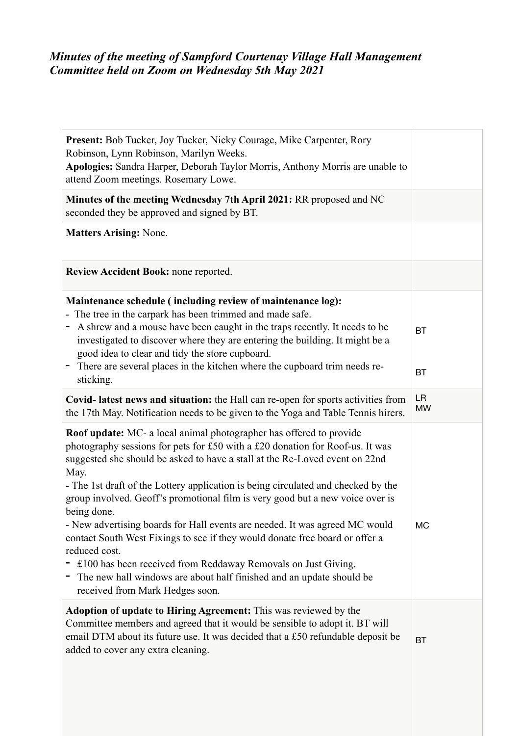# *Minutes of the meeting of Sampford Courtenay Village Hall Management Committee held on Zoom on Wednesday 5th May 2021*

| Present: Bob Tucker, Joy Tucker, Nicky Courage, Mike Carpenter, Rory<br>Robinson, Lynn Robinson, Marilyn Weeks.<br>Apologies: Sandra Harper, Deborah Taylor Morris, Anthony Morris are unable to<br>attend Zoom meetings. Rosemary Lowe.                                                                                                                                                                                                                                                                                                                                                                                                                                                                                                                                                           |                        |
|----------------------------------------------------------------------------------------------------------------------------------------------------------------------------------------------------------------------------------------------------------------------------------------------------------------------------------------------------------------------------------------------------------------------------------------------------------------------------------------------------------------------------------------------------------------------------------------------------------------------------------------------------------------------------------------------------------------------------------------------------------------------------------------------------|------------------------|
| Minutes of the meeting Wednesday 7th April 2021: RR proposed and NC<br>seconded they be approved and signed by BT.                                                                                                                                                                                                                                                                                                                                                                                                                                                                                                                                                                                                                                                                                 |                        |
| <b>Matters Arising: None.</b>                                                                                                                                                                                                                                                                                                                                                                                                                                                                                                                                                                                                                                                                                                                                                                      |                        |
| Review Accident Book: none reported.                                                                                                                                                                                                                                                                                                                                                                                                                                                                                                                                                                                                                                                                                                                                                               |                        |
| Maintenance schedule (including review of maintenance log):<br>- The tree in the carpark has been trimmed and made safe.<br>- A shrew and a mouse have been caught in the traps recently. It needs to be<br>investigated to discover where they are entering the building. It might be a<br>good idea to clear and tidy the store cupboard.<br>There are several places in the kitchen where the cupboard trim needs re-<br>Ξ.<br>sticking.                                                                                                                                                                                                                                                                                                                                                        | <b>BT</b><br><b>BT</b> |
| Covid- latest news and situation: the Hall can re-open for sports activities from<br>the 17th May. Notification needs to be given to the Yoga and Table Tennis hirers.                                                                                                                                                                                                                                                                                                                                                                                                                                                                                                                                                                                                                             | <b>LR</b><br><b>MW</b> |
| Roof update: MC- a local animal photographer has offered to provide<br>photography sessions for pets for £50 with a £20 donation for Roof-us. It was<br>suggested she should be asked to have a stall at the Re-Loved event on 22nd<br>May.<br>- The 1st draft of the Lottery application is being circulated and checked by the<br>group involved. Geoff's promotional film is very good but a new voice over is<br>being done.<br>- New advertising boards for Hall events are needed. It was agreed MC would<br>contact South West Fixings to see if they would donate free board or offer a<br>reduced cost.<br>£100 has been received from Reddaway Removals on Just Giving.<br>The new hall windows are about half finished and an update should be<br>Ξ.<br>received from Mark Hedges soon. | <b>MC</b>              |
| Adoption of update to Hiring Agreement: This was reviewed by the<br>Committee members and agreed that it would be sensible to adopt it. BT will<br>email DTM about its future use. It was decided that a £50 refundable deposit be<br>added to cover any extra cleaning.                                                                                                                                                                                                                                                                                                                                                                                                                                                                                                                           | <b>BT</b>              |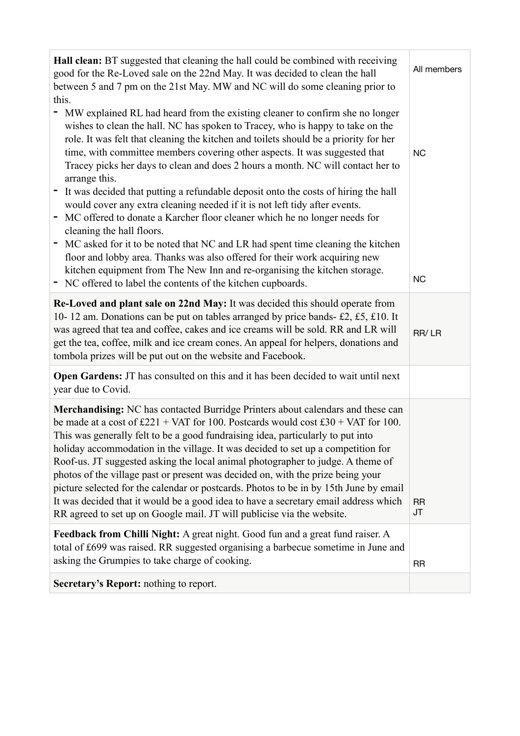| Hall clean: BT suggested that cleaning the hall could be combined with receiving<br>good for the Re-Loved sale on the 22nd May. It was decided to clean the hall<br>between 5 and 7 pm on the 21st May. MW and NC will do some cleaning prior to<br>this.                                                                                                                                                                                                                                                                                                                                                                                                                                                                                                                                                                                                                                                                                                                                                                                    | All members            |
|----------------------------------------------------------------------------------------------------------------------------------------------------------------------------------------------------------------------------------------------------------------------------------------------------------------------------------------------------------------------------------------------------------------------------------------------------------------------------------------------------------------------------------------------------------------------------------------------------------------------------------------------------------------------------------------------------------------------------------------------------------------------------------------------------------------------------------------------------------------------------------------------------------------------------------------------------------------------------------------------------------------------------------------------|------------------------|
| MW explained RL had heard from the existing cleaner to confirm she no longer<br>۰.<br>wishes to clean the hall. NC has spoken to Tracey, who is happy to take on the<br>role. It was felt that cleaning the kitchen and toilets should be a priority for her<br>time, with committee members covering other aspects. It was suggested that<br>Tracey picks her days to clean and does 2 hours a month. NC will contact her to<br>arrange this.<br>It was decided that putting a refundable deposit onto the costs of hiring the hall<br>would cover any extra cleaning needed if it is not left tidy after events.<br>MC offered to donate a Karcher floor cleaner which he no longer needs for<br>cleaning the hall floors.<br>MC asked for it to be noted that NC and LR had spent time cleaning the kitchen<br>floor and lobby area. Thanks was also offered for their work acquiring new<br>kitchen equipment from The New Inn and re-organising the kitchen storage.<br>NC offered to label the contents of the kitchen cupboards.<br>۰ | <b>NC</b><br><b>NC</b> |
| Re-Loved and plant sale on 22nd May: It was decided this should operate from<br>10-12 am. Donations can be put on tables arranged by price bands-£2, £5, £10. It<br>was agreed that tea and coffee, cakes and ice creams will be sold. RR and LR will<br>get the tea, coffee, milk and ice cream cones. An appeal for helpers, donations and<br>tombola prizes will be put out on the website and Facebook.                                                                                                                                                                                                                                                                                                                                                                                                                                                                                                                                                                                                                                  | RR/LR                  |
| <b>Open Gardens:</b> JT has consulted on this and it has been decided to wait until next<br>year due to Covid.                                                                                                                                                                                                                                                                                                                                                                                                                                                                                                                                                                                                                                                                                                                                                                                                                                                                                                                               |                        |
| Merchandising: NC has contacted Burridge Printers about calendars and these can<br>be made at a cost of $\text{\pounds}221 + \text{VAT}$ for 100. Postcards would cost $\text{\pounds}30 + \text{VAT}$ for 100.<br>This was generally felt to be a good fundraising idea, particularly to put into<br>holiday accommodation in the village. It was decided to set up a competition for<br>Roof-us. JT suggested asking the local animal photographer to judge. A theme of<br>photos of the village past or present was decided on, with the prize being your<br>picture selected for the calendar or postcards. Photos to be in by 15th June by email<br>It was decided that it would be a good idea to have a secretary email address which<br>RR agreed to set up on Google mail. JT will publicise via the website.                                                                                                                                                                                                                       | <b>RR</b><br>JT        |
| Feedback from Chilli Night: A great night. Good fun and a great fund raiser. A<br>total of £699 was raised. RR suggested organising a barbecue sometime in June and<br>asking the Grumpies to take charge of cooking.                                                                                                                                                                                                                                                                                                                                                                                                                                                                                                                                                                                                                                                                                                                                                                                                                        | <b>RR</b>              |
| Secretary's Report: nothing to report.                                                                                                                                                                                                                                                                                                                                                                                                                                                                                                                                                                                                                                                                                                                                                                                                                                                                                                                                                                                                       |                        |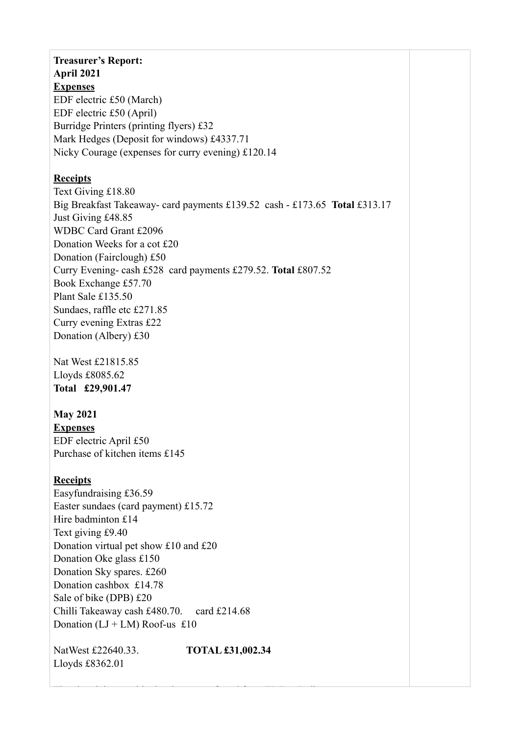### **Treasurer's Report: April 2021**

**Expenses**

EDF electric £50 (March) EDF electric £50 (April) Burridge Printers (printing flyers) £32 Mark Hedges (Deposit for windows) £4337.71 Nicky Courage (expenses for curry evening) £120.14

## **Receipts**

Text Giving £18.80 Big Breakfast Takeaway- card payments £139.52 cash - £173.65 **Total** £313.17 Just Giving £48.85 WDBC Card Grant £2096 Donation Weeks for a cot £20 Donation (Fairclough) £50 Curry Evening- cash £528 card payments £279.52. **Total** £807.52 Book Exchange £57.70 Plant Sale £135.50 Sundaes, raffle etc £271.85 Curry evening Extras £22 Donation (Albery) £30

Nat West £21815.85 Lloyds £8085.62 **Total £29,901.47**

## **May 2021**

**Expenses** EDF electric April £50 Purchase of kitchen items £145

## **Receipts**

Easyfundraising £36.59 Easter sundaes (card payment) £15.72 Hire badminton £14 Text giving £9.40 Donation virtual pet show £10 and £20 Donation Oke glass £150 Donation Sky spares. £260 Donation cashbox £14.78 Sale of bike (DPB) £20 Chilli Takeaway cash £480.70. card £214.68 Donation  $(LJ + LM)$  Roof-us £10

NatWest £22640.33. **TOTAL £31,002.34** Lloyds £8362.01

The electricity provider has been transferred from EDF to Bulb.